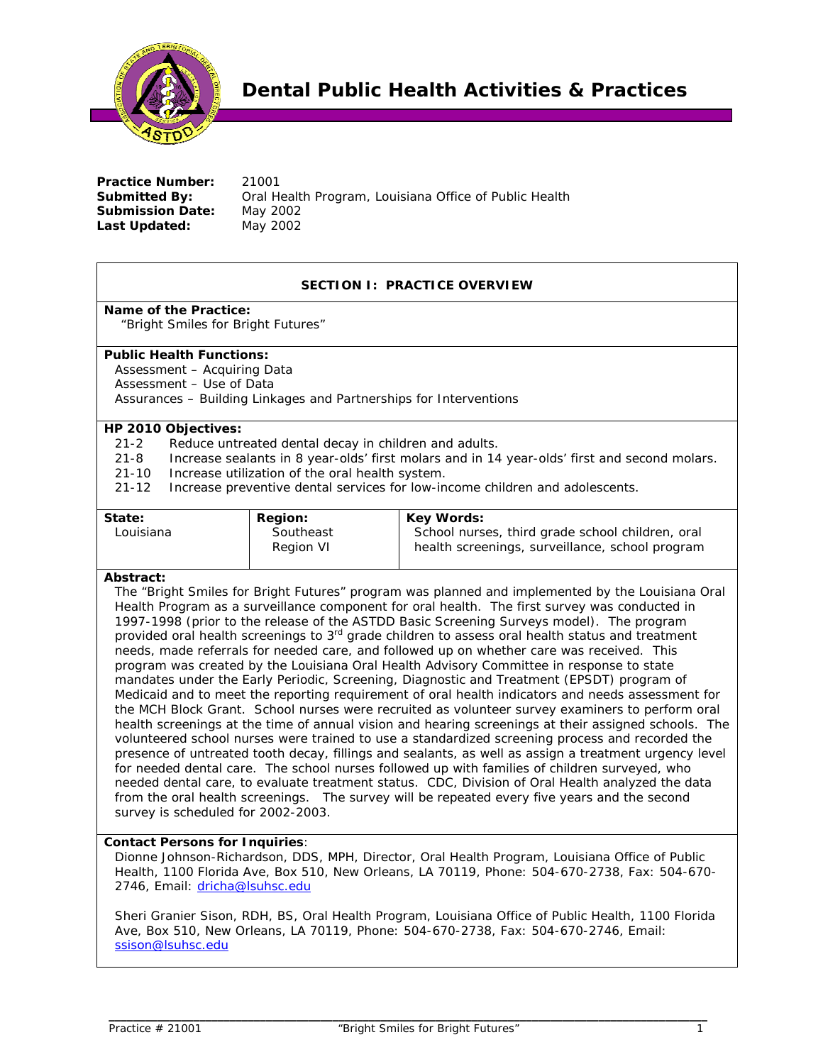

**Practice Number: 21001 Submitted By:** Oral Health Program, Louisiana Office of Public Health **Submission Date:** May 2002 **Last Updated:** May 2002

# **SECTION I: PRACTICE OVERVIEW**

# **Name of the Practice:**

"Bright Smiles for Bright Futures"

### **Public Health Functions:**

Assessment – Acquiring Data Assessment – Use of Data Assurances – Building Linkages and Partnerships for Interventions

# **HP 2010 Objectives:**

- 21-2 Reduce untreated dental decay in children and adults.
- 21-8 Increase sealants in 8 year-olds' first molars and in 14 year-olds' first and second molars.
- 21-10 Increase utilization of the oral health system.
- 21-12 Increase preventive dental services for low-income children and adolescents.

| State:    | <b>Region:</b>         | <b>Key Words:</b>                                                                                   |
|-----------|------------------------|-----------------------------------------------------------------------------------------------------|
| Louisiana | Southeast<br>Region VI | School nurses, third grade school children, oral<br>health screenings, surveillance, school program |

# **Abstract:**

The "Bright Smiles for Bright Futures" program was planned and implemented by the Louisiana Oral Health Program as a surveillance component for oral health. The first survey was conducted in 1997-1998 (prior to the release of the ASTDD Basic Screening Surveys model). The program provided oral health screenings to 3<sup>rd</sup> grade children to assess oral health status and treatment needs, made referrals for needed care, and followed up on whether care was received. This program was created by the Louisiana Oral Health Advisory Committee in response to state mandates under the Early Periodic, Screening, Diagnostic and Treatment (EPSDT) program of Medicaid and to meet the reporting requirement of oral health indicators and needs assessment for the MCH Block Grant. School nurses were recruited as volunteer survey examiners to perform oral health screenings at the time of annual vision and hearing screenings at their assigned schools. The volunteered school nurses were trained to use a standardized screening process and recorded the presence of untreated tooth decay, fillings and sealants, as well as assign a treatment urgency level for needed dental care. The school nurses followed up with families of children surveyed, who needed dental care, to evaluate treatment status. CDC, Division of Oral Health analyzed the data from the oral health screenings. The survey will be repeated every five years and the second survey is scheduled for 2002-2003.

# **Contact Persons for Inquiries**:

Dionne Johnson-Richardson, DDS, MPH, Director, Oral Health Program, Louisiana Office of Public Health, 1100 Florida Ave, Box 510, New Orleans, LA 70119, Phone: 504-670-2738, Fax: 504-670- 2746, Email: dricha@lsuhsc.edu

Sheri Granier Sison, RDH, BS, Oral Health Program, Louisiana Office of Public Health, 1100 Florida Ave, Box 510, New Orleans, LA 70119, Phone: 504-670-2738, Fax: 504-670-2746, Email: ssison@lsuhsc.edu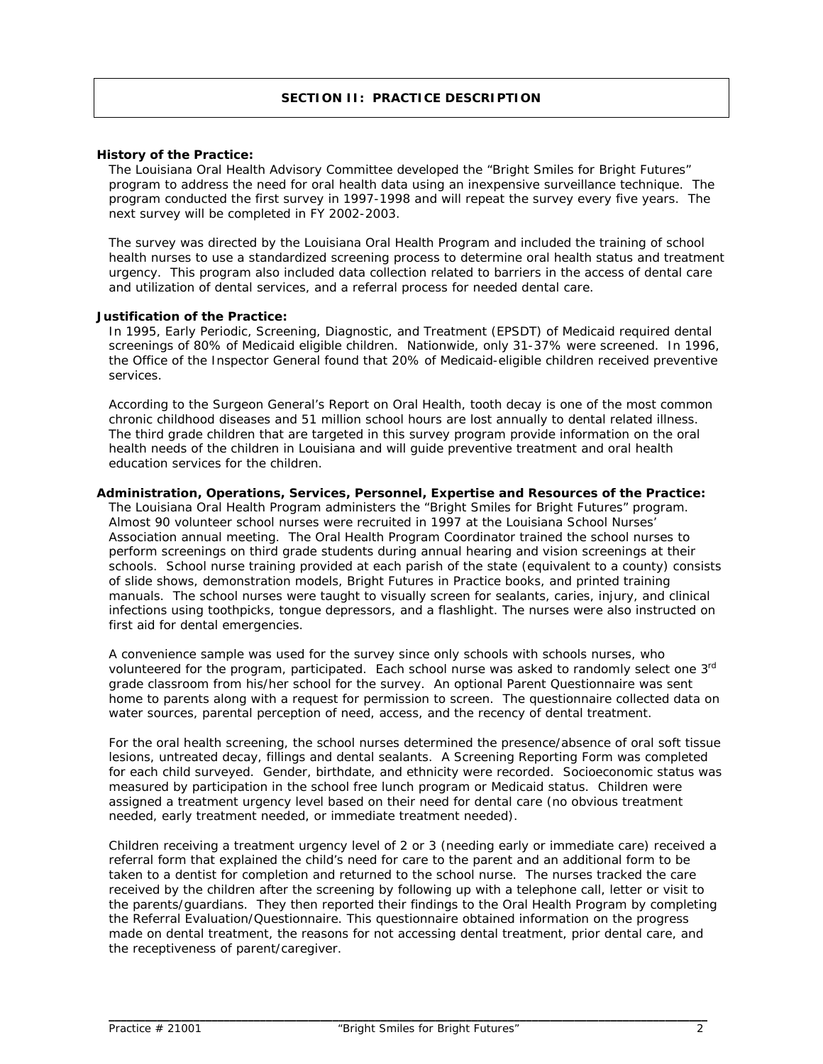# **SECTION II: PRACTICE DESCRIPTION**

#### **History of the Practice:**

The Louisiana Oral Health Advisory Committee developed the "Bright Smiles for Bright Futures" program to address the need for oral health data using an inexpensive surveillance technique. The program conducted the first survey in 1997-1998 and will repeat the survey every five years. The next survey will be completed in FY 2002-2003.

The survey was directed by the Louisiana Oral Health Program and included the training of school health nurses to use a standardized screening process to determine oral health status and treatment urgency. This program also included data collection related to barriers in the access of dental care and utilization of dental services, and a referral process for needed dental care.

#### **Justification of the Practice:**

In 1995, Early Periodic, Screening, Diagnostic, and Treatment (EPSDT) of Medicaid required dental screenings of 80% of Medicaid eligible children. Nationwide, only 31-37% were screened. In 1996, the Office of the Inspector General found that 20% of Medicaid-eligible children received preventive services.

According to the Surgeon General's Report on Oral Health, tooth decay is one of the most common chronic childhood diseases and 51 million school hours are lost annually to dental related illness. The third grade children that are targeted in this survey program provide information on the oral health needs of the children in Louisiana and will guide preventive treatment and oral health education services for the children.

### **Administration, Operations, Services, Personnel, Expertise and Resources of the Practice:**

The Louisiana Oral Health Program administers the "Bright Smiles for Bright Futures" program. Almost 90 volunteer school nurses were recruited in 1997 at the Louisiana School Nurses' Association annual meeting. The Oral Health Program Coordinator trained the school nurses to perform screenings on third grade students during annual hearing and vision screenings at their schools. School nurse training provided at each parish of the state (equivalent to a county) consists of slide shows, demonstration models, Bright Futures in Practice books, and printed training manuals. The school nurses were taught to visually screen for sealants, caries, injury, and clinical infections using toothpicks, tongue depressors, and a flashlight. The nurses were also instructed on first aid for dental emergencies.

A convenience sample was used for the survey since only schools with schools nurses, who volunteered for the program, participated. Each school nurse was asked to randomly select one 3rd grade classroom from his/her school for the survey. An optional Parent Questionnaire was sent home to parents along with a request for permission to screen. The questionnaire collected data on water sources, parental perception of need, access, and the recency of dental treatment.

For the oral health screening, the school nurses determined the presence/absence of oral soft tissue lesions, untreated decay, fillings and dental sealants. A Screening Reporting Form was completed for each child surveyed. Gender, birthdate, and ethnicity were recorded. Socioeconomic status was measured by participation in the school free lunch program or Medicaid status. Children were assigned a treatment urgency level based on their need for dental care (no obvious treatment needed, early treatment needed, or immediate treatment needed).

Children receiving a treatment urgency level of 2 or 3 (needing early or immediate care) received a referral form that explained the child's need for care to the parent and an additional form to be taken to a dentist for completion and returned to the school nurse. The nurses tracked the care received by the children after the screening by following up with a telephone call, letter or visit to the parents/guardians. They then reported their findings to the Oral Health Program by completing the Referral Evaluation/Questionnaire. This questionnaire obtained information on the progress made on dental treatment, the reasons for not accessing dental treatment, prior dental care, and the receptiveness of parent/caregiver.

*\_\_\_\_\_\_\_\_\_\_\_\_\_\_\_\_\_\_\_\_\_\_\_\_\_\_\_\_\_\_\_\_\_\_\_\_\_\_\_\_\_\_\_\_\_\_\_\_\_\_\_\_\_\_\_\_\_\_\_\_\_\_\_\_\_\_\_\_\_\_\_\_\_\_\_\_\_\_\_\_\_\_\_\_\_\_\_\_\_\_\_\_\_\_\_\_\_\_\_*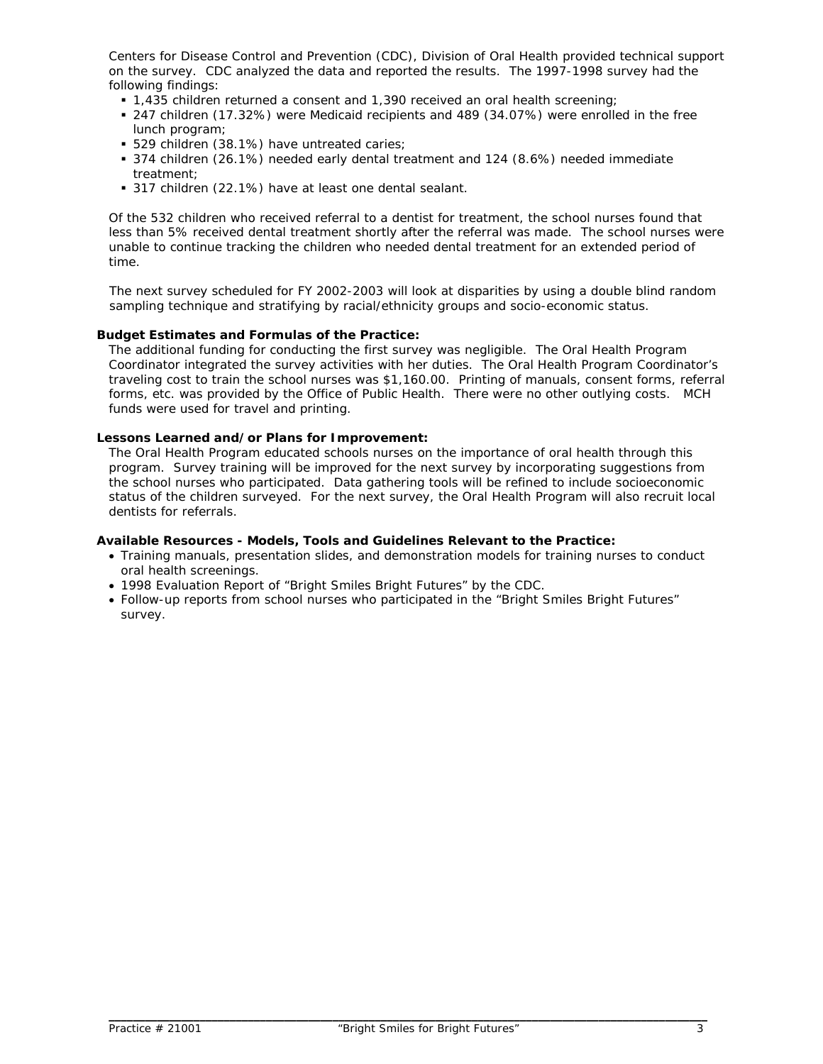Centers for Disease Control and Prevention (CDC), Division of Oral Health provided technical support on the survey. CDC analyzed the data and reported the results. The 1997-1998 survey had the following findings:

- 1,435 children returned a consent and 1,390 received an oral health screening;
- 247 children (17.32%) were Medicaid recipients and 489 (34.07%) were enrolled in the free lunch program;
- **529 children (38.1%) have untreated caries;**
- 374 children (26.1%) needed early dental treatment and 124 (8.6%) needed immediate treatment;
- 317 children (22.1%) have at least one dental sealant.

Of the 532 children who received referral to a dentist for treatment, the school nurses found that less than 5% received dental treatment shortly after the referral was made. The school nurses were unable to continue tracking the children who needed dental treatment for an extended period of time.

The next survey scheduled for FY 2002-2003 will look at disparities by using a double blind random sampling technique and stratifying by racial/ethnicity groups and socio-economic status.

# **Budget Estimates and Formulas of the Practice:**

The additional funding for conducting the first survey was negligible. The Oral Health Program Coordinator integrated the survey activities with her duties. The Oral Health Program Coordinator's traveling cost to train the school nurses was \$1,160.00. Printing of manuals, consent forms, referral forms, etc. was provided by the Office of Public Health. There were no other outlying costs. MCH funds were used for travel and printing.

### **Lessons Learned and/or Plans for Improvement:**

The Oral Health Program educated schools nurses on the importance of oral health through this program. Survey training will be improved for the next survey by incorporating suggestions from the school nurses who participated. Data gathering tools will be refined to include socioeconomic status of the children surveyed. For the next survey, the Oral Health Program will also recruit local dentists for referrals.

# **Available Resources - Models, Tools and Guidelines Relevant to the Practice:**

- Training manuals, presentation slides, and demonstration models for training nurses to conduct oral health screenings.
- 1998 Evaluation Report of "Bright Smiles Bright Futures" by the CDC.
- Follow-up reports from school nurses who participated in the "Bright Smiles Bright Futures" survey.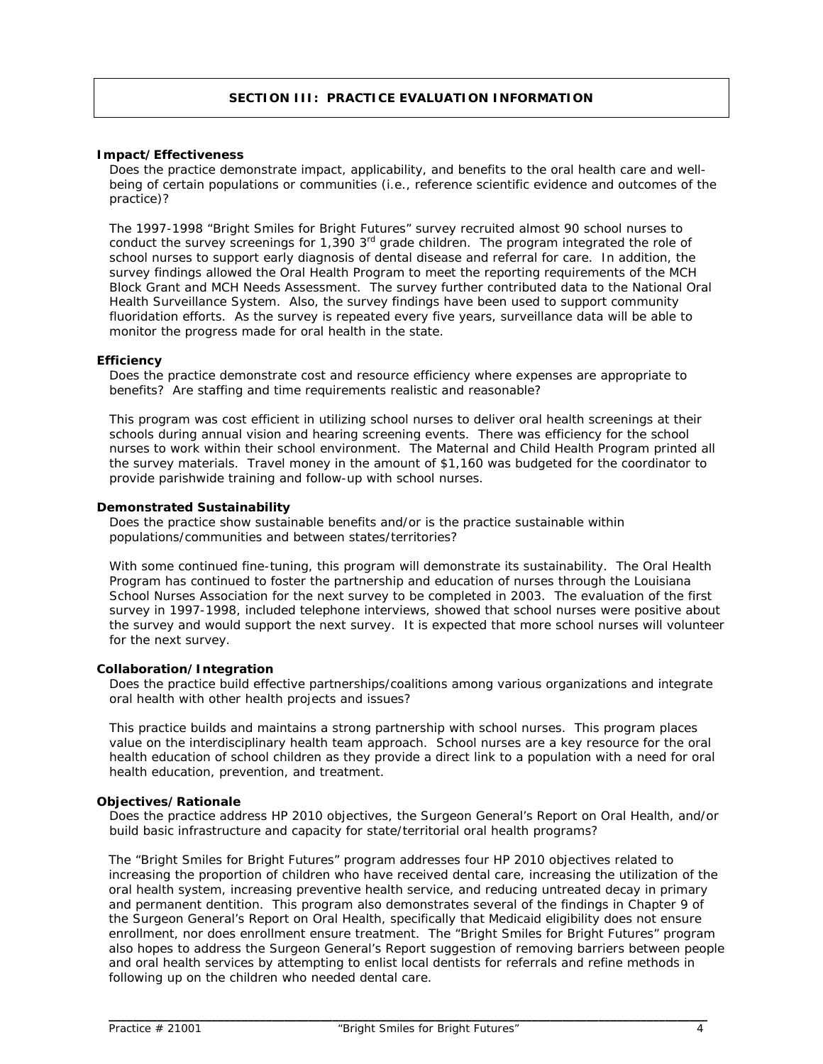# **SECTION III: PRACTICE EVALUATION INFORMATION**

#### **Impact/Effectiveness**

*Does the practice demonstrate impact, applicability, and benefits to the oral health care and wellbeing of certain populations or communities (i.e., reference scientific evidence and outcomes of the practice)?* 

The 1997-1998 "Bright Smiles for Bright Futures" survey recruited almost 90 school nurses to conduct the survey screenings for 1,390 3<sup>rd</sup> grade children. The program integrated the role of school nurses to support early diagnosis of dental disease and referral for care. In addition, the survey findings allowed the Oral Health Program to meet the reporting requirements of the MCH Block Grant and MCH Needs Assessment. The survey further contributed data to the National Oral Health Surveillance System. Also, the survey findings have been used to support community fluoridation efforts. As the survey is repeated every five years, surveillance data will be able to monitor the progress made for oral health in the state.

#### **Efficiency**

*Does the practice demonstrate cost and resource efficiency where expenses are appropriate to benefits? Are staffing and time requirements realistic and reasonable?* 

This program was cost efficient in utilizing school nurses to deliver oral health screenings at their schools during annual vision and hearing screening events. There was efficiency for the school nurses to work within their school environment. The Maternal and Child Health Program printed all the survey materials. Travel money in the amount of \$1,160 was budgeted for the coordinator to provide parishwide training and follow-up with school nurses.

#### **Demonstrated Sustainability**

*Does the practice show sustainable benefits and/or is the practice sustainable within populations/communities and between states/territories?*

With some continued fine-tuning, this program will demonstrate its sustainability. The Oral Health Program has continued to foster the partnership and education of nurses through the Louisiana School Nurses Association for the next survey to be completed in 2003. The evaluation of the first survey in 1997-1998, included telephone interviews, showed that school nurses were positive about the survey and would support the next survey. It is expected that more school nurses will volunteer for the next survey.

#### **Collaboration/Integration**

*Does the practice build effective partnerships/coalitions among various organizations and integrate oral health with other health projects and issues?* 

This practice builds and maintains a strong partnership with school nurses. This program places value on the interdisciplinary health team approach. School nurses are a key resource for the oral health education of school children as they provide a direct link to a population with a need for oral health education, prevention, and treatment.

#### **Objectives/Rationale**

*Does the practice address HP 2010 objectives, the Surgeon General's Report on Oral Health, and/or build basic infrastructure and capacity for state/territorial oral health programs?* 

The "Bright Smiles for Bright Futures" program addresses four HP 2010 objectives related to increasing the proportion of children who have received dental care, increasing the utilization of the oral health system, increasing preventive health service, and reducing untreated decay in primary and permanent dentition. This program also demonstrates several of the findings in Chapter 9 of the Surgeon General's Report on Oral Health, specifically that Medicaid eligibility does not ensure enrollment, nor does enrollment ensure treatment. The "Bright Smiles for Bright Futures" program also hopes to address the Surgeon General's Report suggestion of removing barriers between people and oral health services by attempting to enlist local dentists for referrals and refine methods in following up on the children who needed dental care.

*\_\_\_\_\_\_\_\_\_\_\_\_\_\_\_\_\_\_\_\_\_\_\_\_\_\_\_\_\_\_\_\_\_\_\_\_\_\_\_\_\_\_\_\_\_\_\_\_\_\_\_\_\_\_\_\_\_\_\_\_\_\_\_\_\_\_\_\_\_\_\_\_\_\_\_\_\_\_\_\_\_\_\_\_\_\_\_\_\_\_\_\_\_\_\_\_\_\_\_*